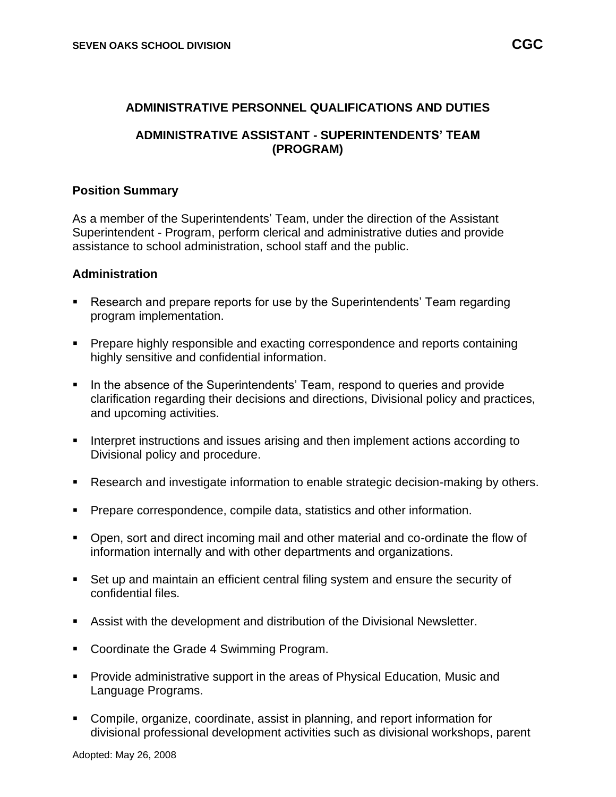#### **ADMINISTRATIVE PERSONNEL QUALIFICATIONS AND DUTIES**

#### **ADMINISTRATIVE ASSISTANT - SUPERINTENDENTS' TEAM (PROGRAM)**

#### **Position Summary**

As a member of the Superintendents' Team, under the direction of the Assistant Superintendent - Program, perform clerical and administrative duties and provide assistance to school administration, school staff and the public.

#### **Administration**

- Research and prepare reports for use by the Superintendents' Team regarding program implementation.
- Prepare highly responsible and exacting correspondence and reports containing highly sensitive and confidential information.
- In the absence of the Superintendents' Team, respond to queries and provide clarification regarding their decisions and directions, Divisional policy and practices, and upcoming activities.
- Interpret instructions and issues arising and then implement actions according to Divisional policy and procedure.
- Research and investigate information to enable strategic decision-making by others.
- **Prepare correspondence, compile data, statistics and other information.**
- Open, sort and direct incoming mail and other material and co-ordinate the flow of information internally and with other departments and organizations.
- Set up and maintain an efficient central filing system and ensure the security of confidential files.
- Assist with the development and distribution of the Divisional Newsletter.
- Coordinate the Grade 4 Swimming Program.
- Provide administrative support in the areas of Physical Education, Music and Language Programs.
- Compile, organize, coordinate, assist in planning, and report information for divisional professional development activities such as divisional workshops, parent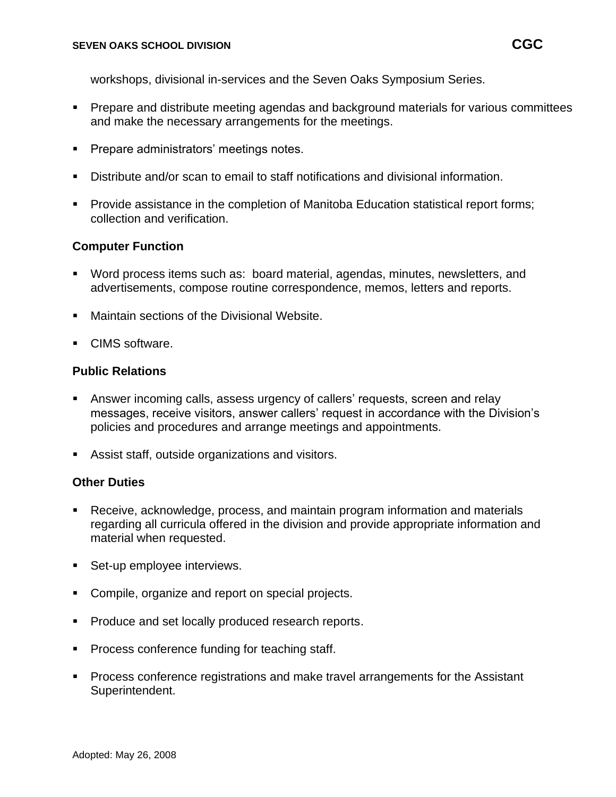workshops, divisional in-services and the Seven Oaks Symposium Series.

- **•** Prepare and distribute meeting agendas and background materials for various committees and make the necessary arrangements for the meetings.
- **Prepare administrators' meetings notes.**
- Distribute and/or scan to email to staff notifications and divisional information.
- Provide assistance in the completion of Manitoba Education statistical report forms; collection and verification.

# **Computer Function**

- Word process items such as: board material, agendas, minutes, newsletters, and advertisements, compose routine correspondence, memos, letters and reports.
- Maintain sections of the Divisional Website.
- CIMS software.

# **Public Relations**

- Answer incoming calls, assess urgency of callers' requests, screen and relay messages, receive visitors, answer callers' request in accordance with the Division's policies and procedures and arrange meetings and appointments.
- Assist staff, outside organizations and visitors.

## **Other Duties**

- Receive, acknowledge, process, and maintain program information and materials regarding all curricula offered in the division and provide appropriate information and material when requested.
- Set-up employee interviews.
- Compile, organize and report on special projects.
- Produce and set locally produced research reports.
- Process conference funding for teaching staff.
- Process conference registrations and make travel arrangements for the Assistant Superintendent.